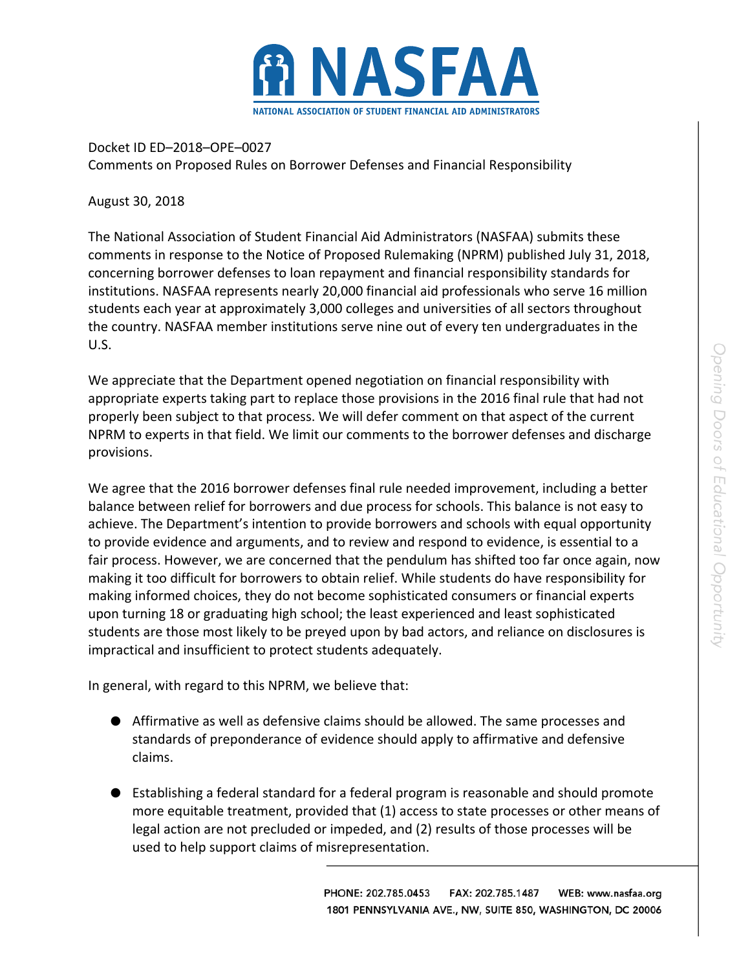

Docket ID ED–2018–OPE–0027 Comments on Proposed Rules on Borrower Defenses and Financial Responsibility

August 30, 2018

The National Association of Student Financial Aid Administrators (NASFAA) submits these comments in response to the Notice of Proposed Rulemaking (NPRM) published July 31, 2018, concerning borrower defenses to loan repayment and financial responsibility standards for institutions. NASFAA represents nearly 20,000 financial aid professionals who serve 16 million students each year at approximately 3,000 colleges and universities of all sectors throughout the country. NASFAA member institutions serve nine out of every ten undergraduates in the U.S.

We appreciate that the Department opened negotiation on financial responsibility with appropriate experts taking part to replace those provisions in the 2016 final rule that had not properly been subject to that process. We will defer comment on that aspect of the current NPRM to experts in that field. We limit our comments to the borrower defenses and discharge provisions.

We agree that the 2016 borrower defenses final rule needed improvement, including a better balance between relief for borrowers and due process for schools. This balance is not easy to achieve. The Department's intention to provide borrowers and schools with equal opportunity to provide evidence and arguments, and to review and respond to evidence, is essential to a fair process. However, we are concerned that the pendulum has shifted too far once again, now making it too difficult for borrowers to obtain relief. While students do have responsibility for making informed choices, they do not become sophisticated consumers or financial experts upon turning 18 or graduating high school; the least experienced and least sophisticated students are those most likely to be preyed upon by bad actors, and reliance on disclosures is impractical and insufficient to protect students adequately.

In general, with regard to this NPRM, we believe that:

- Affirmative as well as defensive claims should be allowed. The same processes and standards of preponderance of evidence should apply to affirmative and defensive claims.
- Establishing a federal standard for a federal program is reasonable and should promote more equitable treatment, provided that (1) access to state processes or other means of legal action are not precluded or impeded, and (2) results of those processes will be used to help support claims of misrepresentation.

PHONE: 202.785.0453 FAX: 202.785.1487 WEB: www.nasfaa.org 1801 PENNSYLVANIA AVE., NW, SUITE 850, WASHINGTON, DC 20006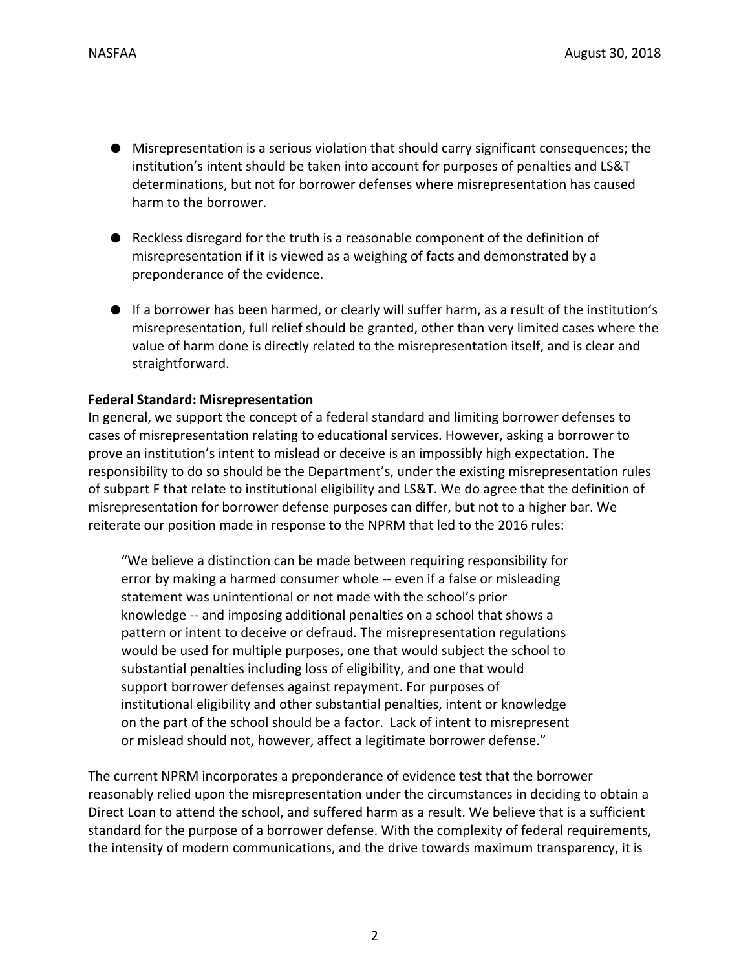- Misrepresentation is a serious violation that should carry significant consequences; the institution's intent should be taken into account for purposes of penalties and LS&T determinations, but not for borrower defenses where misrepresentation has caused harm to the borrower.
- Reckless disregard for the truth is a reasonable component of the definition of misrepresentation if it is viewed as a weighing of facts and demonstrated by a preponderance of the evidence.
- If a borrower has been harmed, or clearly will suffer harm, as a result of the institution's misrepresentation, full relief should be granted, other than very limited cases where the value of harm done is directly related to the misrepresentation itself, and is clear and straightforward.

#### **Federal Standard: Misrepresentation**

In general, we support the concept of a federal standard and limiting borrower defenses to cases of misrepresentation relating to educational services. However, asking a borrower to prove an institution's intent to mislead or deceive is an impossibly high expectation. The responsibility to do so should be the Department's, under the existing misrepresentation rules of subpart F that relate to institutional eligibility and LS&T. We do agree that the definition of misrepresentation for borrower defense purposes can differ, but not to a higher bar. We reiterate our position made in response to the NPRM that led to the 2016 rules:

"We believe a distinction can be made between requiring responsibility for error by making a harmed consumer whole ‐‐ even if a false or misleading statement was unintentional or not made with the school's prior knowledge ‐‐ and imposing additional penalties on a school that shows a pattern or intent to deceive or defraud. The misrepresentation regulations would be used for multiple purposes, one that would subject the school to substantial penalties including loss of eligibility, and one that would support borrower defenses against repayment. For purposes of institutional eligibility and other substantial penalties, intent or knowledge on the part of the school should be a factor. Lack of intent to misrepresent or mislead should not, however, affect a legitimate borrower defense."

The current NPRM incorporates a preponderance of evidence test that the borrower reasonably relied upon the misrepresentation under the circumstances in deciding to obtain a Direct Loan to attend the school, and suffered harm as a result. We believe that is a sufficient standard for the purpose of a borrower defense. With the complexity of federal requirements, the intensity of modern communications, and the drive towards maximum transparency, it is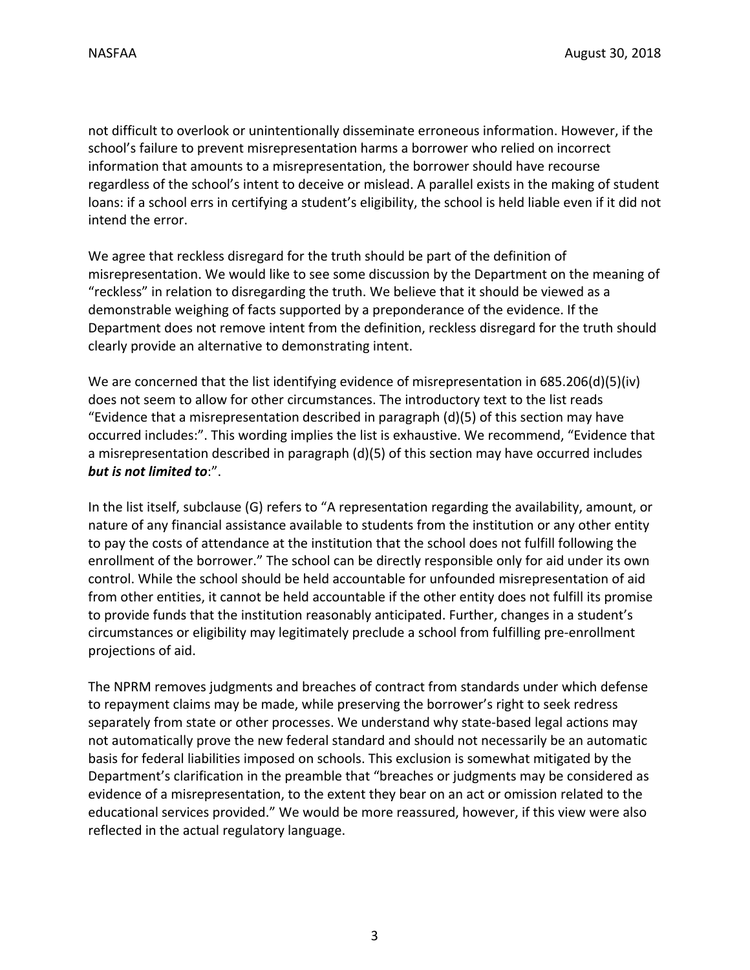not difficult to overlook or unintentionally disseminate erroneous information. However, if the school's failure to prevent misrepresentation harms a borrower who relied on incorrect information that amounts to a misrepresentation, the borrower should have recourse regardless of the school's intent to deceive or mislead. A parallel exists in the making of student loans: if a school errs in certifying a student's eligibility, the school is held liable even if it did not intend the error.

We agree that reckless disregard for the truth should be part of the definition of misrepresentation. We would like to see some discussion by the Department on the meaning of "reckless" in relation to disregarding the truth. We believe that it should be viewed as a demonstrable weighing of facts supported by a preponderance of the evidence. If the Department does not remove intent from the definition, reckless disregard for the truth should clearly provide an alternative to demonstrating intent.

We are concerned that the list identifying evidence of misrepresentation in 685.206(d)(5)(iv) does not seem to allow for other circumstances. The introductory text to the list reads "Evidence that a misrepresentation described in paragraph (d)(5) of this section may have occurred includes:". This wording implies the list is exhaustive. We recommend, "Evidence that a misrepresentation described in paragraph (d)(5) of this section may have occurred includes *but is not limited to*:".

In the list itself, subclause (G) refers to "A representation regarding the availability, amount, or nature of any financial assistance available to students from the institution or any other entity to pay the costs of attendance at the institution that the school does not fulfill following the enrollment of the borrower." The school can be directly responsible only for aid under its own control. While the school should be held accountable for unfounded misrepresentation of aid from other entities, it cannot be held accountable if the other entity does not fulfill its promise to provide funds that the institution reasonably anticipated. Further, changes in a student's circumstances or eligibility may legitimately preclude a school from fulfilling pre‐enrollment projections of aid.

The NPRM removes judgments and breaches of contract from standards under which defense to repayment claims may be made, while preserving the borrower's right to seek redress separately from state or other processes. We understand why state-based legal actions may not automatically prove the new federal standard and should not necessarily be an automatic basis for federal liabilities imposed on schools. This exclusion is somewhat mitigated by the Department's clarification in the preamble that "breaches or judgments may be considered as evidence of a misrepresentation, to the extent they bear on an act or omission related to the educational services provided." We would be more reassured, however, if this view were also reflected in the actual regulatory language.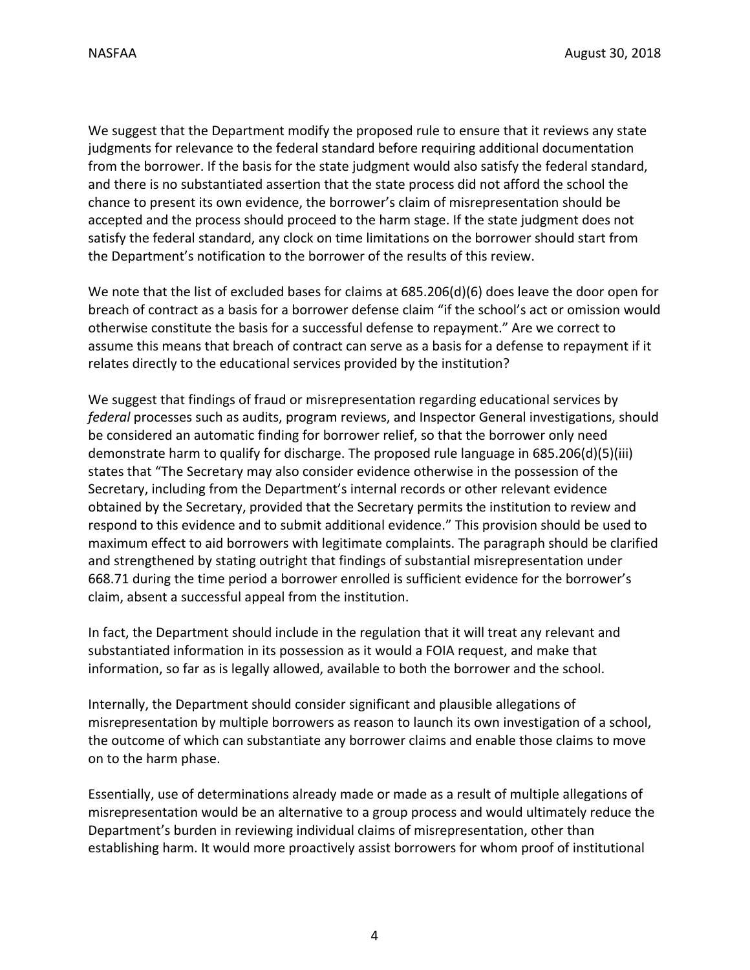We suggest that the Department modify the proposed rule to ensure that it reviews any state judgments for relevance to the federal standard before requiring additional documentation from the borrower. If the basis for the state judgment would also satisfy the federal standard, and there is no substantiated assertion that the state process did not afford the school the chance to present its own evidence, the borrower's claim of misrepresentation should be accepted and the process should proceed to the harm stage. If the state judgment does not satisfy the federal standard, any clock on time limitations on the borrower should start from the Department's notification to the borrower of the results of this review.

We note that the list of excluded bases for claims at 685.206(d)(6) does leave the door open for breach of contract as a basis for a borrower defense claim "if the school's act or omission would otherwise constitute the basis for a successful defense to repayment." Are we correct to assume this means that breach of contract can serve as a basis for a defense to repayment if it relates directly to the educational services provided by the institution?

We suggest that findings of fraud or misrepresentation regarding educational services by *federal* processes such as audits, program reviews, and Inspector General investigations, should be considered an automatic finding for borrower relief, so that the borrower only need demonstrate harm to qualify for discharge. The proposed rule language in 685.206(d)(5)(iii) states that "The Secretary may also consider evidence otherwise in the possession of the Secretary, including from the Department's internal records or other relevant evidence obtained by the Secretary, provided that the Secretary permits the institution to review and respond to this evidence and to submit additional evidence." This provision should be used to maximum effect to aid borrowers with legitimate complaints. The paragraph should be clarified and strengthened by stating outright that findings of substantial misrepresentation under 668.71 during the time period a borrower enrolled is sufficient evidence for the borrower's claim, absent a successful appeal from the institution.

In fact, the Department should include in the regulation that it will treat any relevant and substantiated information in its possession as it would a FOIA request, and make that information, so far as is legally allowed, available to both the borrower and the school.

Internally, the Department should consider significant and plausible allegations of misrepresentation by multiple borrowers as reason to launch its own investigation of a school, the outcome of which can substantiate any borrower claims and enable those claims to move on to the harm phase.

Essentially, use of determinations already made or made as a result of multiple allegations of misrepresentation would be an alternative to a group process and would ultimately reduce the Department's burden in reviewing individual claims of misrepresentation, other than establishing harm. It would more proactively assist borrowers for whom proof of institutional

4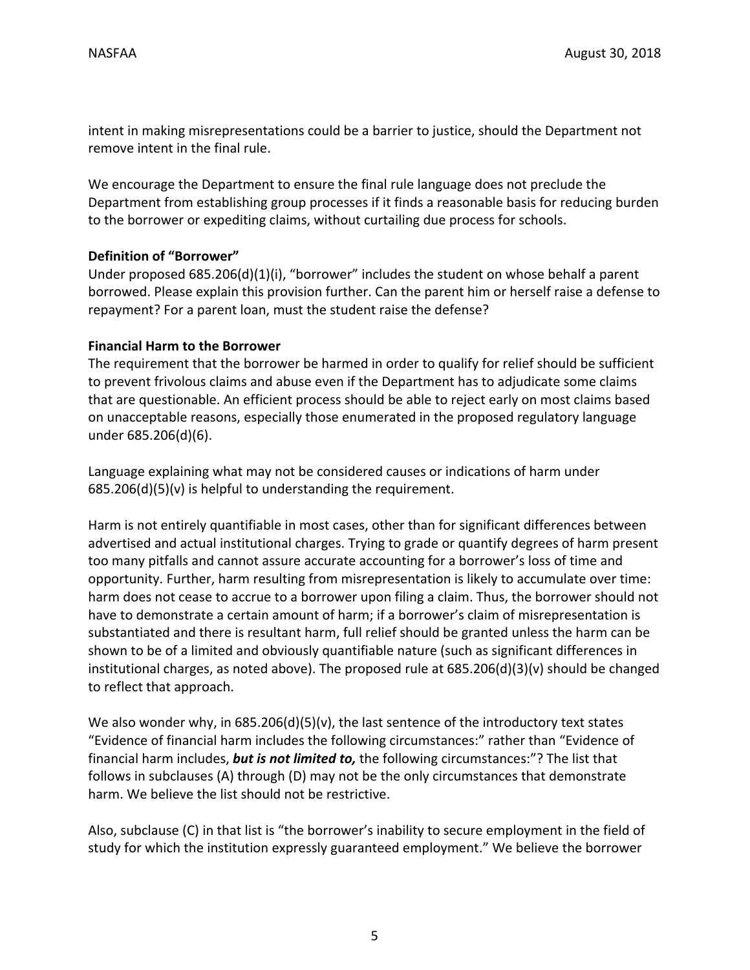intent in making misrepresentations could be a barrier to justice, should the Department not remove intent in the final rule.

We encourage the Department to ensure the final rule language does not preclude the Department from establishing group processes if it finds a reasonable basis for reducing burden to the borrower or expediting claims, without curtailing due process for schools.

## **Definition of "Borrower"**

Under proposed 685.206(d)(1)(i), "borrower" includes the student on whose behalf a parent borrowed. Please explain this provision further. Can the parent him or herself raise a defense to repayment? For a parent loan, must the student raise the defense?

### **Financial Harm to the Borrower**

The requirement that the borrower be harmed in order to qualify for relief should be sufficient to prevent frivolous claims and abuse even if the Department has to adjudicate some claims that are questionable. An efficient process should be able to reject early on most claims based on unacceptable reasons, especially those enumerated in the proposed regulatory language under 685.206(d)(6).

Language explaining what may not be considered causes or indications of harm under 685.206(d)(5)(v) is helpful to understanding the requirement.

Harm is not entirely quantifiable in most cases, other than for significant differences between advertised and actual institutional charges. Trying to grade or quantify degrees of harm present too many pitfalls and cannot assure accurate accounting for a borrower's loss of time and opportunity. Further, harm resulting from misrepresentation is likely to accumulate over time: harm does not cease to accrue to a borrower upon filing a claim. Thus, the borrower should not have to demonstrate a certain amount of harm; if a borrower's claim of misrepresentation is substantiated and there is resultant harm, full relief should be granted unless the harm can be shown to be of a limited and obviously quantifiable nature (such as significant differences in institutional charges, as noted above). The proposed rule at 685.206(d)(3)(v) should be changed to reflect that approach.

We also wonder why, in  $685.206(d)(5)(v)$ , the last sentence of the introductory text states "Evidence of financial harm includes the following circumstances:" rather than "Evidence of financial harm includes, *but is not limited to,* the following circumstances:"? The list that follows in subclauses (A) through (D) may not be the only circumstances that demonstrate harm. We believe the list should not be restrictive.

Also, subclause (C) in that list is "the borrower's inability to secure employment in the field of study for which the institution expressly guaranteed employment." We believe the borrower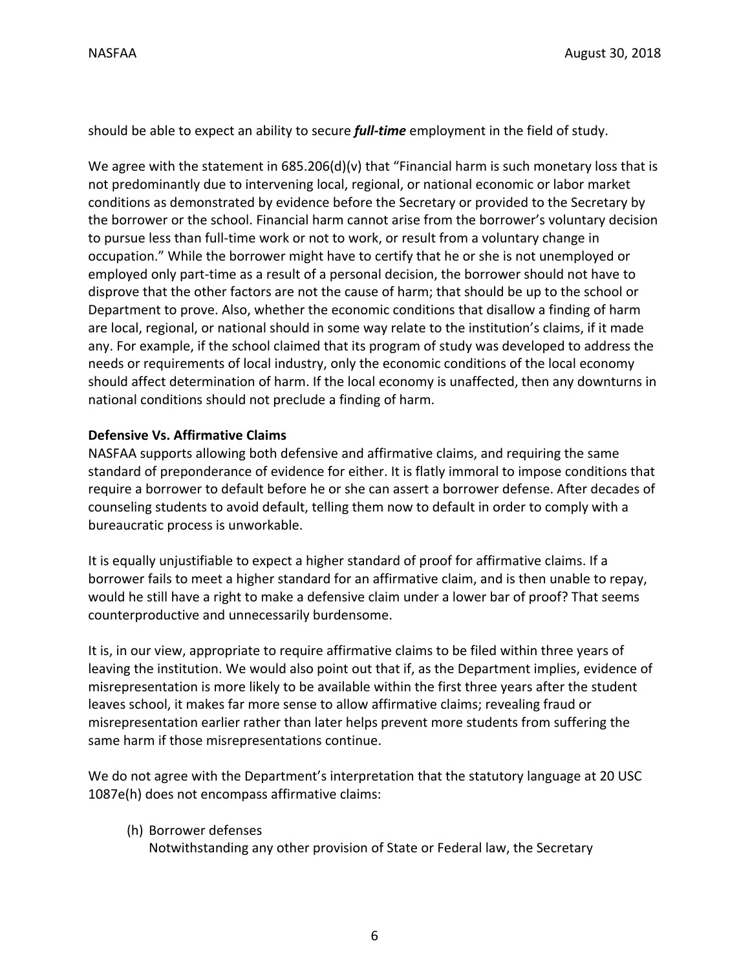should be able to expect an ability to secure *full‐time* employment in the field of study.

We agree with the statement in  $685.206(d)(v)$  that "Financial harm is such monetary loss that is not predominantly due to intervening local, regional, or national economic or labor market conditions as demonstrated by evidence before the Secretary or provided to the Secretary by the borrower or the school. Financial harm cannot arise from the borrower's voluntary decision to pursue less than full-time work or not to work, or result from a voluntary change in occupation." While the borrower might have to certify that he or she is not unemployed or employed only part‐time as a result of a personal decision, the borrower should not have to disprove that the other factors are not the cause of harm; that should be up to the school or Department to prove. Also, whether the economic conditions that disallow a finding of harm are local, regional, or national should in some way relate to the institution's claims, if it made any. For example, if the school claimed that its program of study was developed to address the needs or requirements of local industry, only the economic conditions of the local economy should affect determination of harm. If the local economy is unaffected, then any downturns in national conditions should not preclude a finding of harm.

### **Defensive Vs. Affirmative Claims**

NASFAA supports allowing both defensive and affirmative claims, and requiring the same standard of preponderance of evidence for either. It is flatly immoral to impose conditions that require a borrower to default before he or she can assert a borrower defense. After decades of counseling students to avoid default, telling them now to default in order to comply with a bureaucratic process is unworkable.

It is equally unjustifiable to expect a higher standard of proof for affirmative claims. If a borrower fails to meet a higher standard for an affirmative claim, and is then unable to repay, would he still have a right to make a defensive claim under a lower bar of proof? That seems counterproductive and unnecessarily burdensome.

It is, in our view, appropriate to require affirmative claims to be filed within three years of leaving the institution. We would also point out that if, as the Department implies, evidence of misrepresentation is more likely to be available within the first three years after the student leaves school, it makes far more sense to allow affirmative claims; revealing fraud or misrepresentation earlier rather than later helps prevent more students from suffering the same harm if those misrepresentations continue.

We do not agree with the Department's interpretation that the statutory language at 20 USC 1087e(h) does not encompass affirmative claims:

(h) Borrower defenses

Notwithstanding any other provision of State or Federal law, the Secretary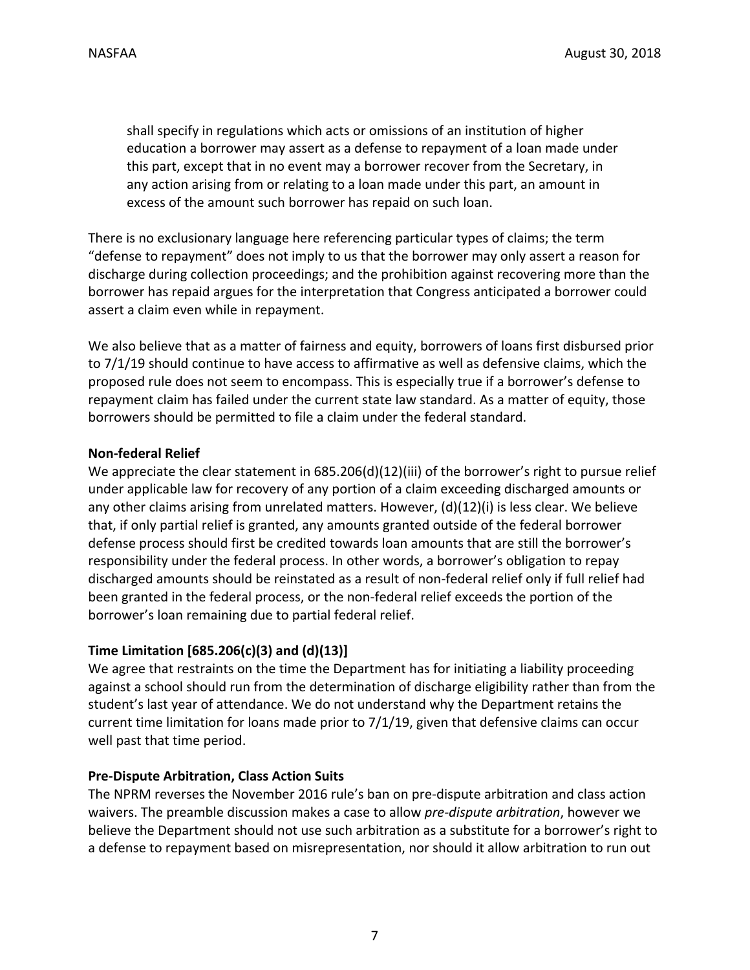shall specify in regulations which acts or omissions of an institution of higher education a borrower may assert as a defense to repayment of a loan made under this part, except that in no event may a borrower recover from the Secretary, in any action arising from or relating to a loan made under this part, an amount in excess of the amount such borrower has repaid on such loan.

There is no exclusionary language here referencing particular types of claims; the term "defense to repayment" does not imply to us that the borrower may only assert a reason for discharge during collection proceedings; and the prohibition against recovering more than the borrower has repaid argues for the interpretation that Congress anticipated a borrower could assert a claim even while in repayment.

We also believe that as a matter of fairness and equity, borrowers of loans first disbursed prior to 7/1/19 should continue to have access to affirmative as well as defensive claims, which the proposed rule does not seem to encompass. This is especially true if a borrower's defense to repayment claim has failed under the current state law standard. As a matter of equity, those borrowers should be permitted to file a claim under the federal standard.

## **Non‐federal Relief**

We appreciate the clear statement in 685.206(d)(12)(iii) of the borrower's right to pursue relief under applicable law for recovery of any portion of a claim exceeding discharged amounts or any other claims arising from unrelated matters. However, (d)(12)(i) is less clear. We believe that, if only partial relief is granted, any amounts granted outside of the federal borrower defense process should first be credited towards loan amounts that are still the borrower's responsibility under the federal process. In other words, a borrower's obligation to repay discharged amounts should be reinstated as a result of non‐federal relief only if full relief had been granted in the federal process, or the non-federal relief exceeds the portion of the borrower's loan remaining due to partial federal relief.

# **Time Limitation [685.206(c)(3) and (d)(13)]**

We agree that restraints on the time the Department has for initiating a liability proceeding against a school should run from the determination of discharge eligibility rather than from the student's last year of attendance. We do not understand why the Department retains the current time limitation for loans made prior to 7/1/19, given that defensive claims can occur well past that time period.

### **Pre‐Dispute Arbitration, Class Action Suits**

The NPRM reverses the November 2016 rule's ban on pre-dispute arbitration and class action waivers. The preamble discussion makes a case to allow *pre‐dispute arbitration*, however we believe the Department should not use such arbitration as a substitute for a borrower's right to a defense to repayment based on misrepresentation, nor should it allow arbitration to run out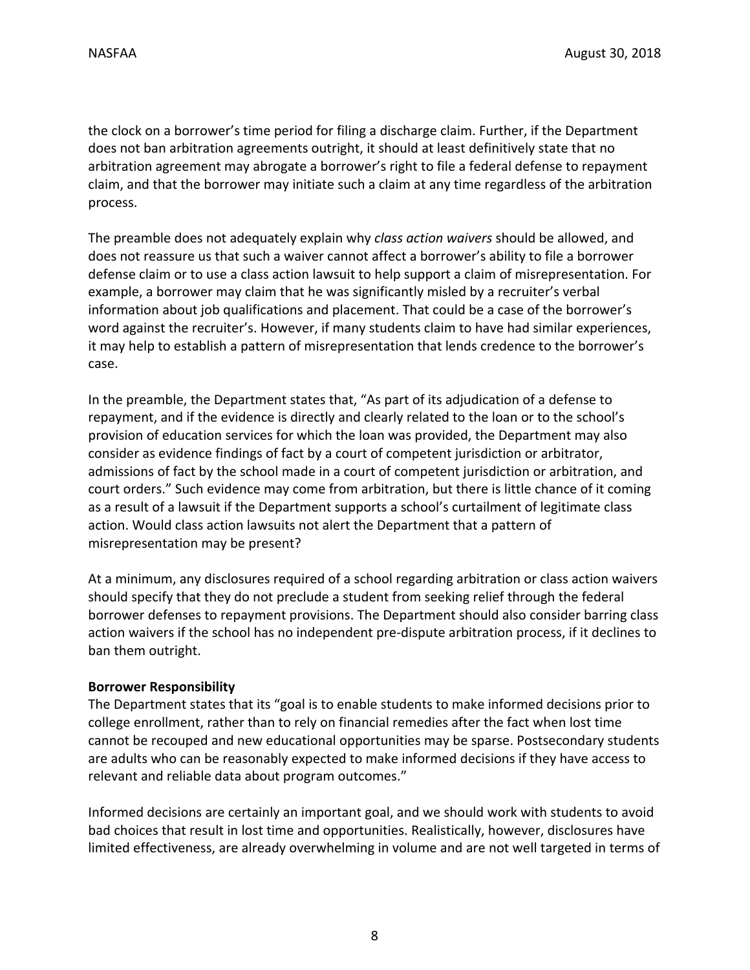the clock on a borrower's time period for filing a discharge claim. Further, if the Department does not ban arbitration agreements outright, it should at least definitively state that no arbitration agreement may abrogate a borrower's right to file a federal defense to repayment claim, and that the borrower may initiate such a claim at any time regardless of the arbitration process.

The preamble does not adequately explain why *class action waivers* should be allowed, and does not reassure us that such a waiver cannot affect a borrower's ability to file a borrower defense claim or to use a class action lawsuit to help support a claim of misrepresentation. For example, a borrower may claim that he was significantly misled by a recruiter's verbal information about job qualifications and placement. That could be a case of the borrower's word against the recruiter's. However, if many students claim to have had similar experiences, it may help to establish a pattern of misrepresentation that lends credence to the borrower's case.

In the preamble, the Department states that, "As part of its adjudication of a defense to repayment, and if the evidence is directly and clearly related to the loan or to the school's provision of education services for which the loan was provided, the Department may also consider as evidence findings of fact by a court of competent jurisdiction or arbitrator, admissions of fact by the school made in a court of competent jurisdiction or arbitration, and court orders." Such evidence may come from arbitration, but there is little chance of it coming as a result of a lawsuit if the Department supports a school's curtailment of legitimate class action. Would class action lawsuits not alert the Department that a pattern of misrepresentation may be present?

At a minimum, any disclosures required of a school regarding arbitration or class action waivers should specify that they do not preclude a student from seeking relief through the federal borrower defenses to repayment provisions. The Department should also consider barring class action waivers if the school has no independent pre‐dispute arbitration process, if it declines to ban them outright.

### **Borrower Responsibility**

The Department states that its "goal is to enable students to make informed decisions prior to college enrollment, rather than to rely on financial remedies after the fact when lost time cannot be recouped and new educational opportunities may be sparse. Postsecondary students are adults who can be reasonably expected to make informed decisions if they have access to relevant and reliable data about program outcomes."

Informed decisions are certainly an important goal, and we should work with students to avoid bad choices that result in lost time and opportunities. Realistically, however, disclosures have limited effectiveness, are already overwhelming in volume and are not well targeted in terms of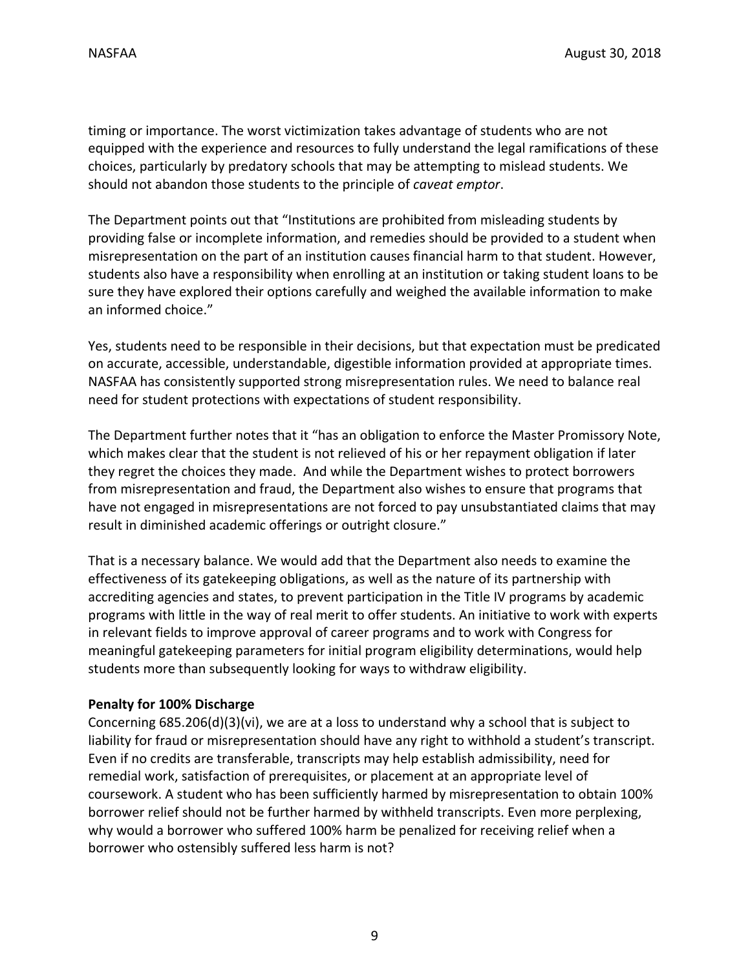timing or importance. The worst victimization takes advantage of students who are not equipped with the experience and resources to fully understand the legal ramifications of these choices, particularly by predatory schools that may be attempting to mislead students. We should not abandon those students to the principle of *caveat emptor*.

The Department points out that "Institutions are prohibited from misleading students by providing false or incomplete information, and remedies should be provided to a student when misrepresentation on the part of an institution causes financial harm to that student. However, students also have a responsibility when enrolling at an institution or taking student loans to be sure they have explored their options carefully and weighed the available information to make an informed choice."

Yes, students need to be responsible in their decisions, but that expectation must be predicated on accurate, accessible, understandable, digestible information provided at appropriate times. NASFAA has consistently supported strong misrepresentation rules. We need to balance real need for student protections with expectations of student responsibility.

The Department further notes that it "has an obligation to enforce the Master Promissory Note, which makes clear that the student is not relieved of his or her repayment obligation if later they regret the choices they made. And while the Department wishes to protect borrowers from misrepresentation and fraud, the Department also wishes to ensure that programs that have not engaged in misrepresentations are not forced to pay unsubstantiated claims that may result in diminished academic offerings or outright closure."

That is a necessary balance. We would add that the Department also needs to examine the effectiveness of its gatekeeping obligations, as well as the nature of its partnership with accrediting agencies and states, to prevent participation in the Title IV programs by academic programs with little in the way of real merit to offer students. An initiative to work with experts in relevant fields to improve approval of career programs and to work with Congress for meaningful gatekeeping parameters for initial program eligibility determinations, would help students more than subsequently looking for ways to withdraw eligibility.

### **Penalty for 100% Discharge**

Concerning 685.206(d)(3)(vi), we are at a loss to understand why a school that is subject to liability for fraud or misrepresentation should have any right to withhold a student's transcript. Even if no credits are transferable, transcripts may help establish admissibility, need for remedial work, satisfaction of prerequisites, or placement at an appropriate level of coursework. A student who has been sufficiently harmed by misrepresentation to obtain 100% borrower relief should not be further harmed by withheld transcripts. Even more perplexing, why would a borrower who suffered 100% harm be penalized for receiving relief when a borrower who ostensibly suffered less harm is not?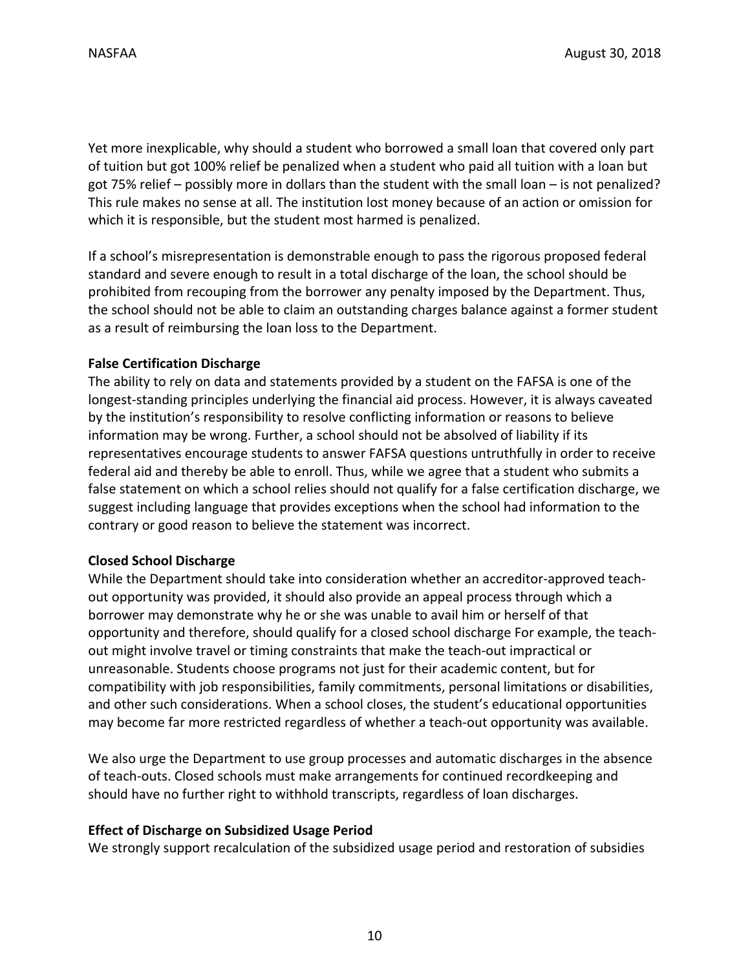Yet more inexplicable, why should a student who borrowed a small loan that covered only part of tuition but got 100% relief be penalized when a student who paid all tuition with a loan but got 75% relief – possibly more in dollars than the student with the small loan – is not penalized? This rule makes no sense at all. The institution lost money because of an action or omission for which it is responsible, but the student most harmed is penalized.

If a school's misrepresentation is demonstrable enough to pass the rigorous proposed federal standard and severe enough to result in a total discharge of the loan, the school should be prohibited from recouping from the borrower any penalty imposed by the Department. Thus, the school should not be able to claim an outstanding charges balance against a former student as a result of reimbursing the loan loss to the Department.

## **False Certification Discharge**

The ability to rely on data and statements provided by a student on the FAFSA is one of the longest‐standing principles underlying the financial aid process. However, it is always caveated by the institution's responsibility to resolve conflicting information or reasons to believe information may be wrong. Further, a school should not be absolved of liability if its representatives encourage students to answer FAFSA questions untruthfully in order to receive federal aid and thereby be able to enroll. Thus, while we agree that a student who submits a false statement on which a school relies should not qualify for a false certification discharge, we suggest including language that provides exceptions when the school had information to the contrary or good reason to believe the statement was incorrect.

### **Closed School Discharge**

While the Department should take into consideration whether an accreditor-approved teachout opportunity was provided, it should also provide an appeal process through which a borrower may demonstrate why he or she was unable to avail him or herself of that opportunity and therefore, should qualify for a closed school discharge For example, the teach‐ out might involve travel or timing constraints that make the teach‐out impractical or unreasonable. Students choose programs not just for their academic content, but for compatibility with job responsibilities, family commitments, personal limitations or disabilities, and other such considerations. When a school closes, the student's educational opportunities may become far more restricted regardless of whether a teach‐out opportunity was available.

We also urge the Department to use group processes and automatic discharges in the absence of teach‐outs. Closed schools must make arrangements for continued recordkeeping and should have no further right to withhold transcripts, regardless of loan discharges.

### **Effect of Discharge on Subsidized Usage Period**

We strongly support recalculation of the subsidized usage period and restoration of subsidies